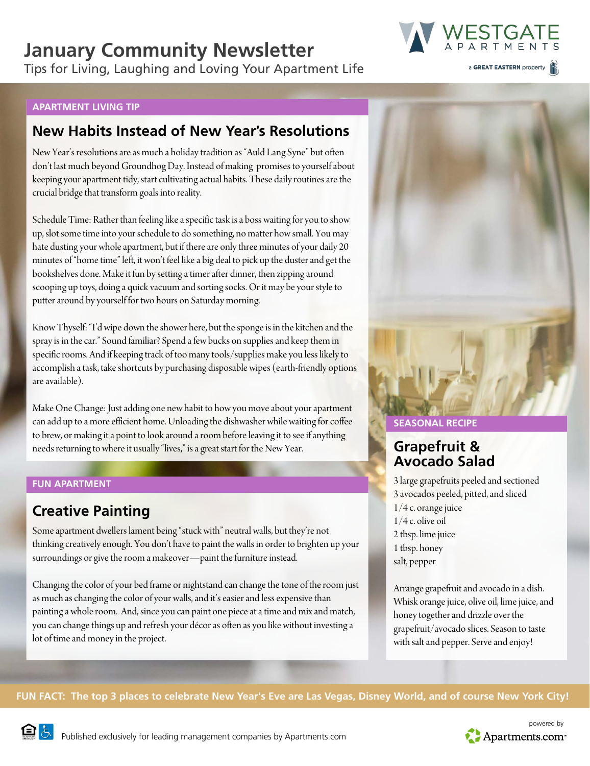## **January Community Newsletter**

Tips for Living, Laughing and Loving Your Apartment Life



a GREAT EASTERN property

#### **APARTMENT LIVING TIP**

## **New Habits Instead of New Year's Resolutions**

New Year's resolutions are as much a holiday tradition as "Auld Lang Syne" but often don't last much beyond Groundhog Day. Instead of making promises to yourself about keeping your apartment tidy, start cultivating actual habits. These daily routines are the crucial bridge that transform goals into reality.

Schedule Time: Rather than feeling like a specific task is a boss waiting for you to show up, slot some time into your schedule to do something, no matter how small. You may hate dusting your whole apartment, but if there are only three minutes of your daily 20 minutes of "home time" left, it won't feel like a big deal to pick up the duster and get the bookshelves done. Make it fun by setting a timer after dinner, then zipping around scooping up toys, doing a quick vacuum and sorting socks. Or it may be your style to putter around by yourself for two hours on Saturday morning.

Know Thyself: "I'd wipe down the shower here, but the sponge is in the kitchen and the spray is in the car." Sound familiar? Spend a few bucks on supplies and keep them in specific rooms. And if keeping track of too many tools/supplies make you less likely to accomplish a task, take shortcuts by purchasing disposable wipes (earth-friendly options are available).

Make One Change: Just adding one new habit to how you move about your apartment can add up to a more efficient home. Unloading the dishwasher while waiting for coffee to brew, or making it a point to look around a room before leaving it to see if anything needs returning to where it usually "lives," is a great start for the New Year.

#### **FUN APARTMENT**

## **Creative Painting**

Some apartment dwellers lament being "stuck with" neutral walls, but they're not thinking creatively enough. You don't have to paint the walls in order to brighten up your surroundings or give the room a makeover—paint the furniture instead.

Changing the color of your bed frame or nightstand can change the tone of the room just as much as changing the color of your walls, and it's easier and less expensive than painting a whole room. And, since you can paint one piece at a time and mix and match, you can change things up and refresh your décor as often as you like without investing a lot of time and money in the project.



#### **SEASONAL RECIPE**

## **Grapefruit & Avocado Salad**

3 large grapefruits peeled and sectioned 3 avocados peeled, pitted, and sliced 1/4 c. orange juice 1/4 c. olive oil 2 tbsp. lime juice 1 tbsp. honey salt, pepper

Arrange grapefruit and avocado in a dish. Whisk orange juice, olive oil, lime juice, and honey together and drizzle over the grapefruit/avocado slices. Season to taste with salt and pepper. Serve and enjoy!

**FUN FACT: The top 3 places to celebrate New Year's Eve are Las Vegas, Disney World, and of course New York City!**